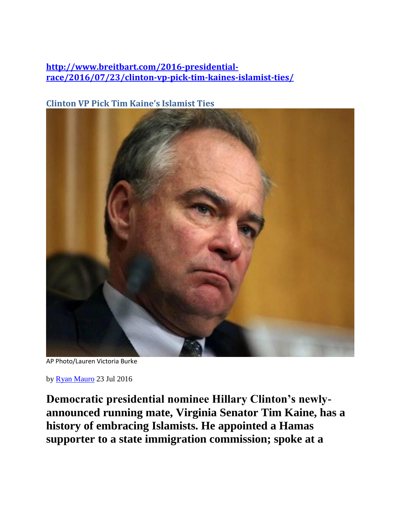### **[http://www.breitbart.com/2016-presidential](http://www.breitbart.com/2016-presidential-race/2016/07/23/clinton-vp-pick-tim-kaines-islamist-ties/)[race/2016/07/23/clinton-vp-pick-tim-kaines-islamist-ties/](http://www.breitbart.com/2016-presidential-race/2016/07/23/clinton-vp-pick-tim-kaines-islamist-ties/)**

## **Clinton VP Pick Tim Kaine's Islamist Ties**



AP Photo/Lauren Victoria Burke

by [Ryan Mauro](http://www.breitbart.com/author/rmauro/) 23 Jul 2016

**Democratic presidential nominee Hillary Clinton's newlyannounced running mate, Virginia Senator Tim Kaine, has a history of embracing Islamists. He appointed a Hamas supporter to a state immigration commission; spoke at a**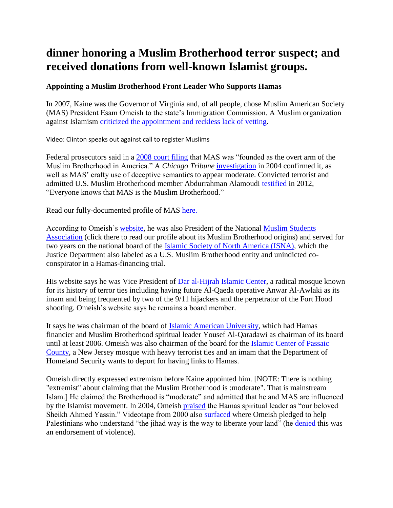# **dinner honoring a Muslim Brotherhood terror suspect; and received donations from well-known Islamist groups.**

#### **Appointing a Muslim Brotherhood Front Leader Who Supports Hamas**

In 2007, Kaine was the Governor of Virginia and, of all people, chose Muslim American Society (MAS) President Esam Omeish to the state's Immigration Commission. A Muslim organization against Islamism [criticized the appointment and reckless](http://aifdemocracy.org/aifd-statement-on-virginia-commission-on-immigration-controversy/) lack of vetting.

Video: Clinton speaks out against call to register Muslims

Federal prosecutors said in a [2008 court filing](http://www.investigativeproject.org/documents/case_docs/542.pdf#page=58) that MAS was "founded as the overt arm of the Muslim Brotherhood in America." A *Chicago Tribune* [investigation](http://www.chicagotribune.com/news/watchdog/chi-0409190261sep19-story.html) in 2004 confirmed it, as well as MAS' crafty use of deceptive semantics to appear moderate. Convicted terrorist and admitted U.S. Muslim Brotherhood member Abdurrahman Alamoudi [testified](http://www.investigativeproject.org/3486/under-oath-alamoudi-ties-mas-to-brotherhood) in 2012, "Everyone knows that MAS is the Muslim Brotherhood."

Read our fully-documented profile of MAS [here.](http://www.clarionproject.org/analysis/muslim-american-society-mas)

According to Omeish's [website,](http://supportdresamomeish.com/) he was also President of the National [Muslim Students](http://www.clarionproject.org/analysis/muslim-students-association)  [Association](http://www.clarionproject.org/analysis/muslim-students-association) (click there to read our profile about its Muslim Brotherhood origins) and served for two years on the national board of the [Islamic Society of North America \(ISNA\),](http://www.clarionproject.org/analysis/islamic-society-north-america-isna) which the Justice Department also labeled as a U.S. Muslim Brotherhood entity and unindicted coconspirator in a Hamas-financing trial.

His website says he was Vice President of [Dar al-Hijrah Islamic Center,](http://www.clarionproject.org/analysis/dar-al-hijrah-islamic-center) a radical mosque known for its history of terror ties including having future Al-Qaeda operative Anwar Al-Awlaki as its imam and being frequented by two of the 9/11 hijackers and the perpetrator of the Fort Hood shooting. Omeish's website says he remains a board member.

It says he was chairman of the board of [Islamic American University,](http://www.clarionproject.org/analysis/islamic-american-university-0) which had Hamas financier and Muslim Brotherhood spiritual leader Yousef Al-Qaradawi as chairman of its board until at least 2006. Omeish was also chairman of the board for the [Islamic Center of](http://www.clarionproject.org/category/tags/islamic-center-passaic-county-icpc) Passaic [County,](http://www.clarionproject.org/category/tags/islamic-center-passaic-county-icpc) a New Jersey mosque with heavy terrorist ties and an imam that the Department of Homeland Security wants to deport for having links to Hamas.

Omeish directly expressed extremism before Kaine appointed him. [NOTE: There is nothing "extremist" about claiming that the Muslim Brotherhood is :moderate". That is mainstream Islam.] He claimed the Brotherhood is "moderate" and admitted that he and MAS are influenced by the Islamist movement. In 2004, Omeish [praised](http://www.investigativeproject.org/1025/mas-esam-omeish-seeks-virginia-office) the Hamas spiritual leader as "our beloved Sheikh Ahmed Yassin." Videotape from 2000 also [surfaced](http://www.investigativeproject.org/494/ipt-footage-takes-down-omeish) where Omeish pledged to help Palestinians who understand "the jihad way is the way to liberate your land" (he [denied](http://www.washingtonpost.com/wp-dyn/content/article/2007/09/28/AR2007092800789.html) this was an endorsement of violence).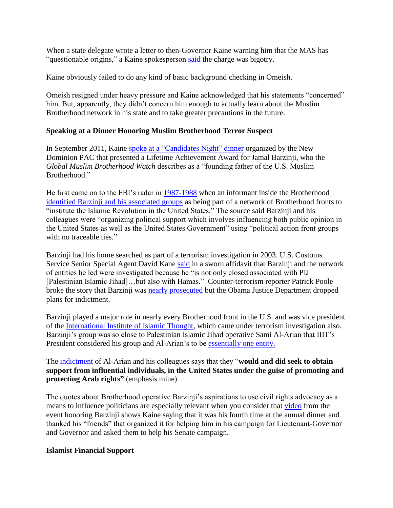When a state delegate wrote a letter to then-Governor Kaine warning him that the MAS has "questionable origins," a Kaine spokesperson [said](http://www.washingtonpost.com/wp-dyn/content/article/2007/09/28/AR2007092800789.html) the charge was bigotry.

Kaine obviously failed to do any kind of basic background checking in Omeish.

Omeish resigned under heavy pressure and Kaine acknowledged that his statements "concerned" him. But, apparently, they didn't concern him enough to actually learn about the Muslim Brotherhood network in his state and to take greater precautions in the future.

#### **Speaking at a Dinner Honoring Muslim Brotherhood Terror Suspect**

In September 2011, Kaine [spoke at a "Candidates Night" dinner](http://www.globalmbwatch.com/2011/10/12/governor-of-virgina-apppears-at-event-with-founding-father-of-u-s-muslim-brotherhood/) organized by the New Dominion PAC that presented a Lifetime Achievement Award for Jamal Barzinji, who the *Global Muslim Brotherhood Watch* describes as a "founding father of the U.S. Muslim Brotherhood."

He first came on to the FBI's radar in [1987-1988](tel:1987-1988) when an informant inside the Brotherhood [identified Barzinji and his associated groups](http://www.investigativeproject.org/737/forgotten-investigation-emails-offer-insight-into-iiit-probe) as being part of a network of Brotherhood fronts to "institute the Islamic Revolution in the United States." The source said Barzinji and his colleagues were "organizing political support which involves influencing both public opinion in the United States as well as the United States Government" using "political action front groups with no traceable ties."

Barzinji had his home searched as part of a terrorism investigation in 2003. U.S. Customs Service Senior Special Agent David Kane [said](http://www.investigativeproject.org/documents/case_docs/891.pdf) in a sworn affidavit that Barzinji and the network of entities he led were investigated because he "is not only closed associated with PIJ [Palestinian Islamic Jihad]…but also with Hamas." Counter-terrorism reporter Patrick Poole broke the story that Barzinji was [nearly prosecuted](https://pjmedia.com/blog/pjm-exclusive-holders-doj-scuttled-more-terror-related-prosecutions/) but the Obama Justice Department dropped plans for indictment.

Barzinji played a major role in nearly every Brotherhood front in the U.S. and was vice president of the [International Institute of Islamic Thought,](http://www.clarionproject.org/analysis/international-institute-islamic-thought) which came under terrorism investigation also. Barzinji's group was so close to Palestinian Islamic Jihad operative Sami Al-Arian that IIIT's President considered his group and Al-Arian's to be [essentially one entity.](http://www.investigativeproject.org/700/al-arian-indicted-for-contempt)

The [indictment](http://fas.org/irp/ops/ci/al-arian_indict_022003.pdf) of Al-Arian and his colleagues says that they "**would and did seek to obtain support from influential individuals, in the United States under the guise of promoting and protecting Arab rights"** (emphasis mine).

The quotes about Brotherhood operative Barzinji's aspirations to use civil rights advocacy as a means to influence politicians are especially relevant when you consider that [video](https://youtu.be/e99jdfDUWOA) from the event honoring Barzinji shows Kaine saying that it was his fourth time at the annual dinner and thanked his "friends" that organized it for helping him in his campaign for Lieutenant-Governor and Governor and asked them to help his Senate campaign.

#### **Islamist Financial Support**